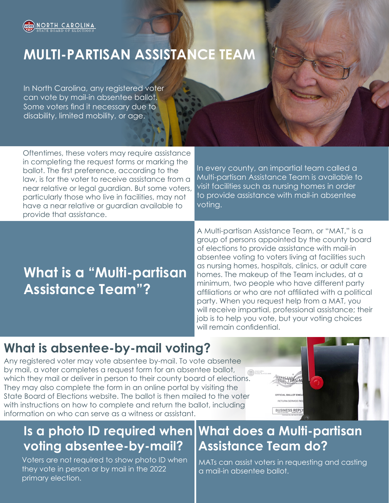

# **MULTI-PARTISAN ASSISTANCE TEAM**

In North Carolina, any registered voter can vote by mail-in absentee ballot. Some voters find it necessary due to disability, limited mobility, or age.

Oftentimes, these voters may require assistance in completing the request forms or marking the ballot. The first preference, according to the law, is for the voter to receive assistance from a near relative or legal guardian. But some voters, particularly those who live in facilities, may not have a near relative or guardian available to provide that assistance.

In every county, an impartial team called a Multi-partisan Assistance Team is available to visit facilities such as nursing homes in order to provide assistance with mail-in absentee voting.

# **What is a "Multi-partisan Assistance Team"?**

A Multi-partisan Assistance Team, or "MAT," is a group of persons appointed by the county board of elections to provide assistance with mail-in absentee voting to voters living at facilities such as nursing homes, hospitals, clinics, or adult care homes. The makeup of the Team includes, at a minimum, two people who have different party affiliations or who are not affiliated with a political party. When you request help from a MAT, you will receive impartial, professional assistance; their job is to help you vote, but your voting choices will remain confidential.

## **What is absentee-by-mail voting?**

Any registered voter may vote absentee by-mail. To vote absentee by mail, a voter completes a request form for an absentee ballot, which they mail or deliver in person to their county board of elections. They may also complete the form in an online portal by visiting the State Board of Elections website. The ballot is then mailed to the voter with instructions on how to complete and return the ballot, including information on who can serve as a witness or assistant.





Voters are not required to show photo ID when they vote in person or by mail in the 2022 primary election.

# **What does a Multi-partisan Assistance Team do?**

MATs can assist voters in requesting and casting a mail-in absentee ballot.